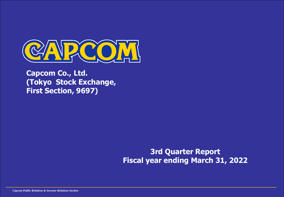

**Capcom Co., Ltd. (Tokyo Stock Exchange, First Section, 9697)**

> **3rd Quarter Report Fiscal year ending March 31, 2022**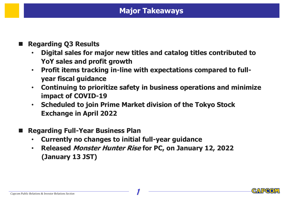### **Major Takeaways**

#### ◼ **Regarding Q3 Results**

- **Digital sales for major new titles and catalog titles contributed to YoY sales and profit growth**
- **Profit items tracking in-line with expectations compared to fullyear fiscal guidance**
- **Continuing to prioritize safety in business operations and minimize impact of COVID-19**
- **Scheduled to join Prime Market division of the Tokyo Stock Exchange in April 2022**
- ◼ **Regarding Full-Year Business Plan**
	- **Currently no changes to initial full-year guidance**
	- **Released Monster Hunter Rise for PC, on January 12, 2022 (January 13 JST)**

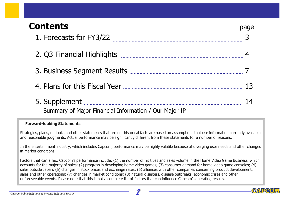# **Contents** page

| 1. Forecasts for FY3/22 <b>Manual Community Contracts</b> |    |
|-----------------------------------------------------------|----|
|                                                           |    |
|                                                           |    |
|                                                           |    |
| Summary of Major Financial Information / Our Major IP     | 14 |
|                                                           |    |

#### **Forward-looking Statements**

Strategies, plans, outlooks and other statements that are not historical facts are based on assumptions that use information currently available and reasonable judgments. Actual performance may be significantly different from these statements for a number of reasons.

In the entertainment industry, which includes Capcom, performance may be highly volatile because of diverging user needs and other changes in market conditions.

Factors that can affect Capcom's performance include: (1) the number of hit titles and sales volume in the Home Video Game Business, which accounts for the majority of sales; (2) progress in developing home video games; (3) consumer demand for home video game consoles; (4) sales outside Japan; (5) changes in stock prices and exchange rates; (6) alliances with other companies concerning product development, sales and other operations; (7) changes in market conditions; (8) natural disasters, disease outbreaks, economic crises and other unforeseeable events. Please note that this is not a complete list of factors that can influence Capcom's operating results.

CAPO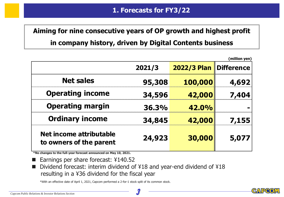# **Aiming for nine consecutive years of OP growth and highest profit**

#### **in company history, driven by Digital Contents business**

|                                                           |        |                          | (million yen) |
|-----------------------------------------------------------|--------|--------------------------|---------------|
|                                                           | 2021/3 | 2022/3 Plan   Difference |               |
| <b>Net sales</b>                                          | 95,308 | 100,000                  | 4,692         |
| <b>Operating income</b>                                   | 34,596 | 42,000                   | 7,404         |
| <b>Operating margin</b>                                   | 36.3%  | 42.0%                    |               |
| <b>Ordinary income</b>                                    | 34,845 | 42,000                   | 7.155         |
| <b>Net income attributable</b><br>to owners of the parent | 24,923 | 30,000                   | 5,077         |

**\*No changes to the full-year forecast announced on May 10, 2021.**

- Earnings per share forecast: ¥140.52
- Dividend forecast: interim dividend of ¥18 and year-end dividend of ¥18 resulting in a ¥36 dividend for the fiscal year

\*With an effective date of April 1, 2021, Capcom performed a 2-for-1 stock split of its common stock.

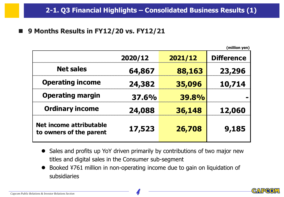■ 9 Months Results in FY12/20 vs. FY12/21

|                                                    |              |              | (million yen)     |
|----------------------------------------------------|--------------|--------------|-------------------|
|                                                    | 2020/12      | 2021/12      | <b>Difference</b> |
| <b>Net sales</b>                                   | 64,867       | 88,163       | 23,296            |
| <b>Operating income</b>                            | 24,382       | 35,096       | 10,714            |
| <b>Operating margin</b>                            | <b>37.6%</b> | <b>39.8%</b> |                   |
| <b>Ordinary income</b>                             | 24,088       | 36,148       | 12,060            |
| Net income attributable<br>to owners of the parent | 17,523       | 26,708       | 9,185             |

- Sales and profits up YoY driven primarily by contributions of two major new titles and digital sales in the Consumer sub-segment
- Booked ¥761 million in non-operating income due to gain on liquidation of subsidiaries

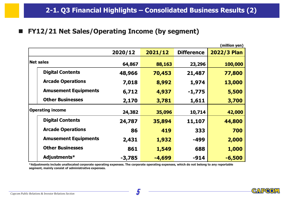#### ■ **FY12/21 Net Sales/Operating Income (by segment)**

|                             |          |          |                   | (million yen)      |
|-----------------------------|----------|----------|-------------------|--------------------|
|                             | 2020/12  | 2021/12  | <b>Difference</b> | <b>2022/3 Plan</b> |
| <b>Net sales</b>            | 64,867   | 88,163   | 23,296            | 100,000            |
| <b>Digital Contents</b>     | 48,966   | 70,453   | 21,487            | 77,800             |
| <b>Arcade Operations</b>    | 7,018    | 8,992    | 1,974             | 13,000             |
| <b>Amusement Equipments</b> | 6,712    | 4,937    | $-1,775$          | 5,500              |
| <b>Other Businesses</b>     | 2,170    | 3,781    | 1,611             | 3,700              |
| <b>Operating income</b>     | 24,382   | 35,096   | 10,714            | 42,000             |
| <b>Digital Contents</b>     | 24,787   | 35,894   | 11,107            | 44,800             |
| <b>Arcade Operations</b>    | 86       | 419      | 333               | 700                |
| <b>Amusement Equipments</b> | 2,431    | 1,932    | -499              | 2,000              |
| <b>Other Businesses</b>     | 861      | 1,549    | 688               | 1,000              |
| Adjustments*                | $-3,785$ | $-4,699$ | $-914$            | $-6,500$           |

**\*Adjustments include unallocated corporate operating expenses. The corporate operating expenses, which do not belong to any reportable segment, mainly consist of administrative expenses.**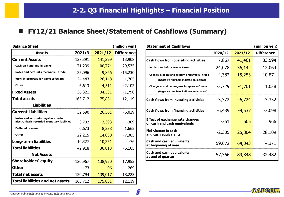#### ■ **FY12/21 Balance Sheet/Statement of Cashflows (Summary)**

| <b>Balance Sheet</b><br>(million yen)                                              |         |         |                   |  |  |  |
|------------------------------------------------------------------------------------|---------|---------|-------------------|--|--|--|
| <b>Assets</b>                                                                      | 2021/3  | 2021/12 | <b>Difference</b> |  |  |  |
| <b>Current Assets</b>                                                              | 127,391 | 141,299 | 13,908            |  |  |  |
| Cash on hand and in banks                                                          | 71,239  | 100,774 | 29,535            |  |  |  |
| Notes and accounts receivable - trade                                              | 25,096  | 9,866   | $-15,230$         |  |  |  |
| Work in progress for game software                                                 | 24,443  | 26,148  | 1,705             |  |  |  |
| Other                                                                              | 6,613   | 4,511   | $-2,102$          |  |  |  |
| <b>Fixed Assets</b>                                                                | 36,321  | 34,531  | $-1,790$          |  |  |  |
| <b>Total assets</b>                                                                | 163,712 | 175,831 | 12,119            |  |  |  |
| <b>Liabilities</b>                                                                 |         |         |                   |  |  |  |
| <b>Current Liabilities</b>                                                         | 32,590  | 26,561  | $-6,029$          |  |  |  |
| Notes and accounts payable - trade<br>Electronically recorded monetary liabilities | 3,702   | 3,393   | $-309$            |  |  |  |
| <b>Deffered revenue</b>                                                            | 6,673   | 8,338   | 1,665             |  |  |  |
| Other                                                                              | 22,215  | 14,830  | $-7,385$          |  |  |  |
| <b>Long-term liabilities</b>                                                       | 10,327  | 10,251  | $-76$             |  |  |  |
| <b>Total liabilities</b>                                                           | 42,918  | 36,813  | $-6,105$          |  |  |  |
| <b>Net Assets</b>                                                                  |         |         |                   |  |  |  |
| <b>Shareholders' equity</b>                                                        | 120,967 | 138,920 | 17,953            |  |  |  |
| <b>Other</b>                                                                       | $-173$  | 96      | 269               |  |  |  |
| <b>Total net assets</b>                                                            | 120,794 | 139,017 | 18,223            |  |  |  |
| <b>Total liabilities and net assets</b>                                            | 163,712 | 175,831 | 12,119            |  |  |  |

| <b>Balance Sheet</b>                                                               |         |         | (million yen)     | <b>Statement of Cashflows</b>                                          |          |          | (million yen)     |
|------------------------------------------------------------------------------------|---------|---------|-------------------|------------------------------------------------------------------------|----------|----------|-------------------|
| <b>Assets</b>                                                                      | 2021/3  | 2021/12 | <b>Difference</b> |                                                                        | 2020/12  | 2021/12  | <b>Difference</b> |
| Current Assets                                                                     | 127,391 | 141,299 | 13,908            | <b>Cash flows from operating activities</b>                            | 7,867    | 41,461   | 33,594            |
| Cash on hand and in banks                                                          | 71,239  | 100,774 | 29,535            | Net income before income taxes                                         | 24,078   | 36,142   | 12,064            |
| Notes and accounts receivable - trade                                              | 25,096  | 9,866   | $-15,230$         | Change in notes and accounts receivable - trade                        | 4,382    | 15,253   | 10,871            |
| Work in progress for game software                                                 | 24,443  | 26,148  | 1,705             | (Negative numbers indicate an increase)                                |          |          |                   |
| Other                                                                              | 6,613   | 4,511   | $-2,102$          | Change in work in progress for game software                           | $-2,729$ | $-1,701$ | 1,028             |
| <b>Fixed Assets</b>                                                                | 36,321  | 34,531  | $-1,790$          | (Negative numbers indicate an increase)                                |          |          |                   |
| Total assets                                                                       | 163,712 | 175,831 | 12,119            | <b>Cash flows from investing activities</b>                            | $-3,372$ | $-6,724$ | $-3,352$          |
| <b>Liabilities</b>                                                                 |         |         |                   |                                                                        |          |          |                   |
| <b>Current Liabilities</b>                                                         | 32,590  | 26,561  | $-6,029$          | <b>Cash flows from financing activities</b>                            | $-6,439$ | $-9,537$ | $-3,098$          |
| Notes and accounts payable - trade<br>Electronically recorded monetary liabilities | 3,702   | 3,393   | $-309$            | <b>Effect of exchange rate changes</b><br>on cash and cash equivalents | $-361$   | 605      | 966               |
| <b>Deffered revenue</b>                                                            | 6,673   | 8,338   | 1,665             | Net change in cash                                                     | $-2,305$ | 25,804   | 28,109            |
| Other                                                                              | 22,215  | 14,830  | $-7,385$          | and cash equivalents                                                   |          |          |                   |
| Long-term liabilities                                                              | 10,327  | 10,251  | -76               | <b>Cash and cash equivalents</b>                                       | 59,672   | 64,043   | 4,371             |
| Total liabilities                                                                  | 42,918  | 36,813  | $-6,105$          | at beginning of year                                                   |          |          |                   |
| <b>Net Assets</b>                                                                  |         |         |                   | Cash and cash equivalents<br>at end of quarter                         | 57,366   | 89,848   | 32,482            |
| Sharahnldare' aguity                                                               | 120027  | 120.020 | 1700              |                                                                        |          |          |                   |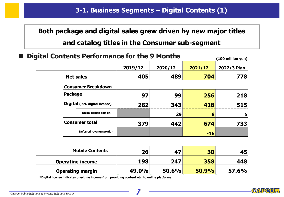# **Both package and digital sales grew driven by new major titles and catalog titles in the Consumer sub-segment**

| <b>The Second</b> | <b>Digital Contents Performance for the 9 Months</b> |         |         |              | (100 million yen) |
|-------------------|------------------------------------------------------|---------|---------|--------------|-------------------|
|                   |                                                      | 2019/12 | 2020/12 | 2021/12      | 2022/3 Plan       |
|                   | <b>Net sales</b>                                     | 405     | 489     | 704          | 778               |
|                   | <b>Consumer Breakdown</b>                            |         |         |              |                   |
|                   | <b>Package</b>                                       | 97      | 99      | 256          | 218               |
|                   | Digital (incl. digital license)                      | 282     | 343     | 418          | 515               |
|                   | <b>Digital license portion</b>                       |         | 29      | 8            | 5                 |
|                   | <b>Consumer total</b>                                | 379     | 442     | 674          | 733               |
|                   | Deferred revenue portion                             |         |         | $-16$        |                   |
|                   |                                                      |         |         |              |                   |
|                   | <b>Mobile Contents</b>                               | 26      | 47      | 30           | 45                |
|                   | <b>Operating income</b>                              | 198     | 247     | 358          | 448               |
|                   | <b>Operating margin</b>                              | 49.0%   | 50.6%   | <b>50.9%</b> | <b>57.6%</b>      |

**\*Digital license indicates one-time income from providing content etc. to online platforms**

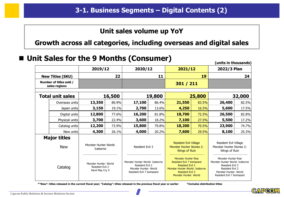#### **Unit sales volume up YoY**

**Growth across all categories, including overseas and digital sales**

#### ■ Unit Sales for the 9 Months (Consumer)

|                                          |                                                             |        |                                                                                                             |                                                                                                                                                                        |           |                                                                                                                                                   | (units in thousands) |        |
|------------------------------------------|-------------------------------------------------------------|--------|-------------------------------------------------------------------------------------------------------------|------------------------------------------------------------------------------------------------------------------------------------------------------------------------|-----------|---------------------------------------------------------------------------------------------------------------------------------------------------|----------------------|--------|
|                                          | 2019/12                                                     |        | 2020/12                                                                                                     |                                                                                                                                                                        | 2021/12   |                                                                                                                                                   | 2022/3 Plan          |        |
| <b>New Titles (SKU)</b>                  |                                                             | 22     |                                                                                                             | 11                                                                                                                                                                     |           | 19                                                                                                                                                |                      | 24     |
| Number of titles sold /<br>sales regions |                                                             |        |                                                                                                             |                                                                                                                                                                        | 301 / 211 |                                                                                                                                                   |                      |        |
| <b>Total unit sales</b>                  |                                                             | 16,500 |                                                                                                             | 19,800                                                                                                                                                                 |           | 25,800                                                                                                                                            |                      | 32,000 |
| Overseas units                           | 13,350                                                      | 80.9%  | 17,100                                                                                                      | 86.4%                                                                                                                                                                  | 21,550    | 83.5%                                                                                                                                             | 26,400               | 82.5%  |
| Japan units                              | 3,150                                                       | 19.1%  | 2,700                                                                                                       | 13.6%                                                                                                                                                                  | 4,250     | 16.5%                                                                                                                                             | 5,600                | 17.5%  |
| Digital units                            | 12,800                                                      | 77.6%  | 16,200                                                                                                      | 81.8%                                                                                                                                                                  | 18,700    | 72.5%                                                                                                                                             | 26,500               | 82.8%  |
| Physical units                           | 3,700                                                       | 22.4%  | 3,600                                                                                                       | 18.2%                                                                                                                                                                  | 7,100     | 27.5%                                                                                                                                             | 5,500                | 17.2%  |
| Catalog units                            | 12,200                                                      | 73.9%  | 15,800                                                                                                      | 79.8%                                                                                                                                                                  | 18,200    | 70.5%                                                                                                                                             | 23,900               | 74.7%  |
| New units                                | 4,300                                                       | 26.1%  | 4,000                                                                                                       | 20.2%                                                                                                                                                                  | 7,600     | 29.5%                                                                                                                                             | 8,100                | 25.3%  |
| <b>Major titles</b><br><b>New</b>        | Monster Hunter World:<br>Iceborne                           |        | <b>Resident Evil Village</b><br>Resident Evil 3<br><b>Monster Hunter Stories 2:</b><br><b>Wings of Ruin</b> |                                                                                                                                                                        |           | Resident Evil Village<br>Monster Hunter Stories 2:<br>Wings of Ruin                                                                               |                      |        |
| Catalog                                  | Monster Hunter: World<br>Resident Evil 2<br>Devil May Cry 5 |        | Monster Hunter World: Iceborne<br>Resident Evil 2<br>Monster Hunter: World<br>Resident Evil 7 biohazard     | <b>Monster Hunter Rise</b><br>Resident Evil 7 biohazard<br><b>Resident Evil 2</b><br>Monster Hunter World: Iceborne<br><b>Resident Evil 3</b><br>Monster Hunter: World |           | Monster Hunter Rise<br>Monster Hunter World: Iceborne<br>Resident Evil 3<br>Resident Evil 2<br>Monster Hunter: World<br>Resident Evil 7 biohazard |                      |        |

**\*"New": titles released in the current fiscal year; "Catalog": titles released in the previous fiscal year or earlier \*Includes distribution titles**

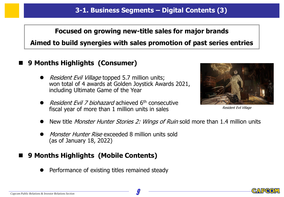## **Focused on growing new-title sales for major brands Aimed to build synergies with sales promotion of past series entries**

#### ◼ **9 Months Highlights (Consumer)**

- Resident Evil Village topped 5.7 million units; won total of 4 awards at Golden Joystick Awards 2021, including Ultimate Game of the Year
- ⚫ Resident Evil 7 biohazard achieved 6th consecutive fiscal year of more than 1 million units in sales



Resident Evil Village

- New title *Monster Hunter Stories 2: Wings of Ruin* sold more than 1.4 million units
- Monster Hunter Rise exceeded 8 million units sold (as of January 18, 2022)

#### ◼ **9 Months Highlights (Mobile Contents)**

⚫ Performance of existing titles remained steady

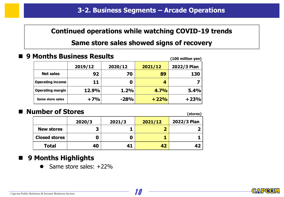#### **Continued operations while watching COVID-19 trends**

#### **Same store sales showed signs of recovery**

◼ **9 Months Business Results**

| PIUIILIIS DUSIIIESS KESUILS | (100 million yen) |         |         |             |
|-----------------------------|-------------------|---------|---------|-------------|
|                             | 2019/12           | 2020/12 | 2021/12 | 2022/3 Plan |
| <b>Net sales</b>            | 92                | 70      | 89      | 130         |
| <b>Operating income</b>     | 11                |         |         |             |
| <b>Operating margin</b>     | <b>12.9%</b>      | 1.2%    | 4.7%    | 5.4%        |
| Same store sales            | $+7%$             | $-28%$  | $+22%$  | $+23%$      |

#### ■ Number of Stores

|                      |        | (Stores) |         |             |
|----------------------|--------|----------|---------|-------------|
|                      | 2020/3 | 2021/3   | 2021/12 | 2022/3 Plan |
| <b>New stores</b>    | 3      |          |         |             |
| <b>Closed stores</b> | 0      |          |         |             |
| <b>Total</b>         | 40     | 41       | 42      |             |

### ■ 9 Months Highlights

⚫ Same store sales: +22%

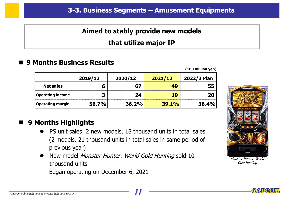#### **Aimed to stably provide new models**

#### **that utilize major IP**

#### ◼ **9 Months Business Results**

**(100 million yen)**

|                         | 2019/12      | 2020/12 | 2021/12 | 2022/3 Plan  |
|-------------------------|--------------|---------|---------|--------------|
| <b>Net sales</b>        |              | 67      | 49      | 55           |
| <b>Operating income</b> | 3            | 24      | 19      | 20           |
| Operating margin        | <b>56.7%</b> | 36.2%   | 39.1%   | <b>36.4%</b> |

### ■ 9 Months Highlights

- ⚫ PS unit sales: 2 new models, 18 thousand units in total sales (2 models, 21 thousand units in total sales in same period of previous year)
- New model *Monster Hunter: World Gold Hunting* sold 10 thousand units

Began operating on December 6, 2021



Monster Hunter: World Gold Hunting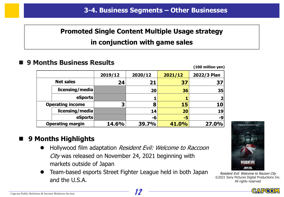## **Promoted Single Content Multiple Usage strategy in conjunction with game sales**

#### ◼ **9 Months Business Results**

|                         |              |         |         | (100 million yen) |
|-------------------------|--------------|---------|---------|-------------------|
|                         | 2019/12      | 2020/12 | 2021/12 | 2022/3 Plan       |
| <b>Net sales</b>        | 24           | 21      | 37      | 37                |
| licensing/media         |              | 20      | 36      | 35                |
| eSports                 |              |         |         |                   |
| <b>Operating income</b> | 3            | 8       | 15      | 10                |
| licensing/media         |              | 14      | 20      | 19                |
| eSports                 |              | -6      | -5      | -9                |
| <b>Operating margin</b> | <b>14.6%</b> | 39.7%   | 41.0%   | 27.0%             |

### ■ 9 Months Highlights

- Hollywood film adaptation Resident Evil: Welcome to Raccoon City was released on November 24, 2021 beginning with markets outside of Japan
- ⚫ Team-based esports Street Fighter League held in both Japan and the U.S.A.



Resident Evil: Welcome to Racoon City ©2021 Sony Pictures Digital Productions Inc. All rights reserved



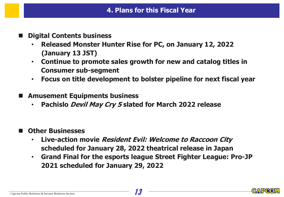- ◼ **Digital Contents business**
	- **Released Monster Hunter Rise for PC, on January 12, 2022 (January 13 JST)**
	- **Continue to promote sales growth for new and catalog titles in Consumer sub-segment**
	- **Focus on title development to bolster pipeline for next fiscal year**
- ◼ **Amusement Equipments business**
	- **Pachislo Devil May Cry 5 slated for March 2022 release**
- **Other Businesses** 
	- **Live-action movie Resident Evil: Welcome to Raccoon City scheduled for January 28, 2022 theatrical release in Japan**
	- **Grand Final for the esports league Street Fighter League: Pro-JP 2021 scheduled for January 29, 2022**

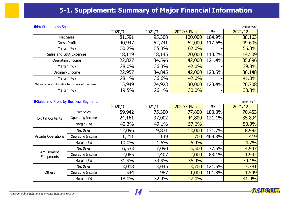#### **5-1. Supplement: Summary of Major Financial Information**

#### ●Profit and Loss Sheet (million yen)

| $\bullet$ , fond and E033 Sheed<br>$\sum$       |        |        |             |        |         |  |  |  |
|-------------------------------------------------|--------|--------|-------------|--------|---------|--|--|--|
|                                                 | 2020/3 | 2021/3 | 2022/3 Plan | $\%$   | 2021/12 |  |  |  |
| <b>Net Sales</b>                                | 81,591 | 95,308 | 100,000     | 104.9% | 88,163  |  |  |  |
| Gross Profit                                    | 40,947 | 52,741 | 62,000      | 117.6% | 49,605  |  |  |  |
| Margin (%)                                      | 50.2%  | 55.3%  | 62.0%       |        | 56.3%   |  |  |  |
| Sales and G&A Expenses                          | 18,119 | 18,145 | 20,000      | 110.2% | 14,509  |  |  |  |
| Operating Income                                | 22,827 | 34,596 | 42,000      | 121.4% | 35,096  |  |  |  |
| Margin (%)                                      | 28.0%  | 36.3%  | 42.0%       |        | 39.8%   |  |  |  |
| Ordinary Income                                 | 22,957 | 34,845 | 42,000      | 120.5% | 36,148  |  |  |  |
| Margin (%)                                      | 28.1%  | 36.6%  | 42.0%       |        | 41.0%   |  |  |  |
| Net income attributable to owners of the parent | 15,949 | 24,923 | 30,000      | 120.4% | 26,708  |  |  |  |
| Margin (%)                                      | 19.5%  | 26.1%  | 30.0%       |        | 30.3%   |  |  |  |

#### ● Sales and Profit by Business Segments (million yen)

|                         | $\sim$ cared and not can be passified begin to he |        |        |             |        |         |
|-------------------------|---------------------------------------------------|--------|--------|-------------|--------|---------|
|                         |                                                   | 2020/3 | 2021/3 | 2022/3 Plan | $\%$   | 2021/12 |
| <b>Digital Contents</b> | Net Sales                                         | 59,942 | 75,300 | 77,800      | 103.3% | 70,453  |
|                         | Operating Income                                  | 24,161 | 37,002 | 44,800      | 121.1% | 35,894  |
|                         | Margin (%)                                        | 40.3%  | 49.1%  | 57.6%       |        | 50.9%   |
| Arcade Operations       | <b>Net Sales</b>                                  | 12,096 | 9,871  | 13,000      | 131.7% | 8,992   |
|                         | Operating Income                                  | 1,211  | 149    | 700         | 469.8% | 419     |
|                         | Margin (%)                                        | 10.0%  | 1.5%   | 5.4%        |        | 4.7%    |
| Amusement<br>Equipments | <b>Net Sales</b>                                  | 6,533  | 7,090  | 5,500       | 77.6%  | 4,937   |
|                         | Operating Income                                  | 2,085  | 2,407  | 2,000       | 83.1%  | 1,932   |
|                         | Margin (%)                                        | 31.9%  | 33.9%  | 36.4%       |        | 39.1%   |
| Others                  | <b>Net Sales</b>                                  | 3,018  | 3,045  | 3,700       | 121.5% | 3,781   |
|                         | Operating Income                                  | 544    | 987    | 1,000       | 101.3% | 1,549   |
|                         | Margin (%)                                        | 18.0%  | 32.4%  | 27.0%       |        | 41.0%   |